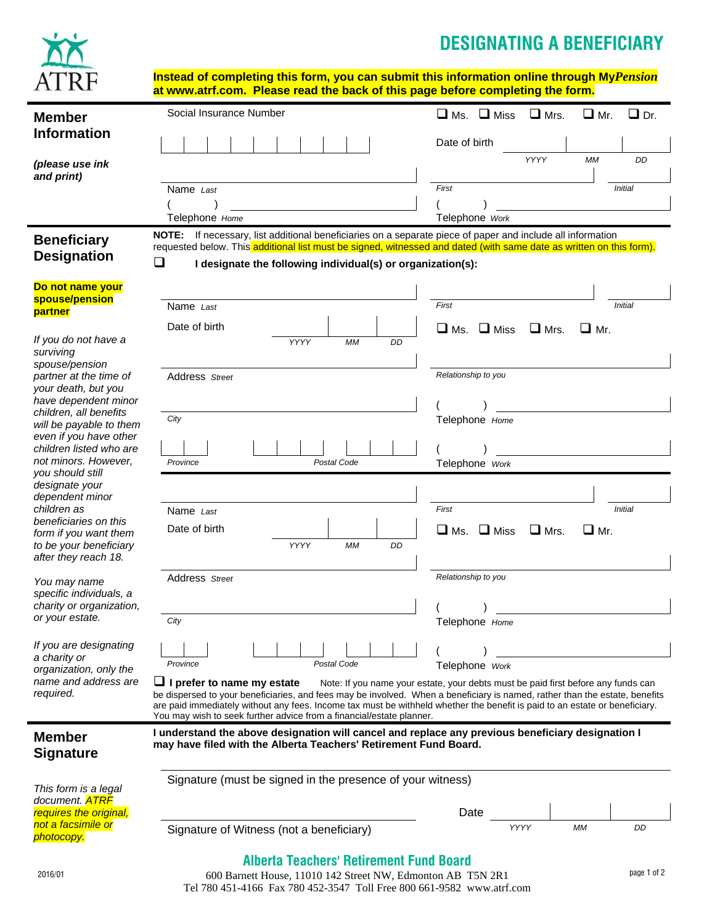